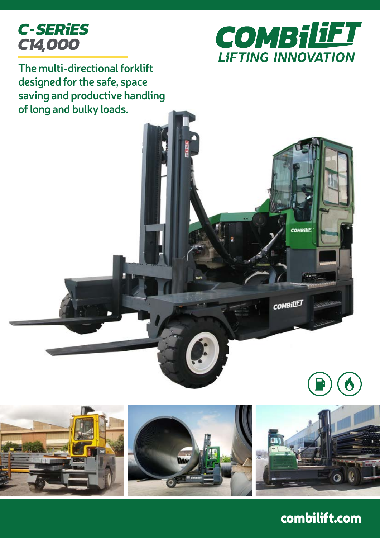



**COMBILE** 

**COMBILET** 

**The multi-directional forklift designed for the safe, space saving and productive handling of long and bulky loads.**









combilift.com